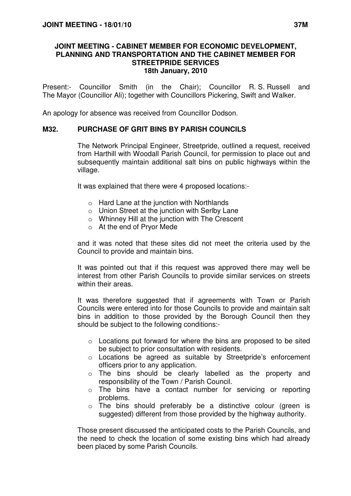## **JOINT MEETING - CABINET MEMBER FOR ECONOMIC DEVELOPMENT, PLANNING AND TRANSPORTATION AND THE CABINET MEMBER FOR STREETPRIDE SERVICES 18th January, 2010**

Present:- Councillor Smith (in the Chair); Councillor R. S. Russell and The Mayor (Councillor Ali); together with Councillors Pickering, Swift and Walker.

An apology for absence was received from Councillor Dodson.

## **M32. PURCHASE OF GRIT BINS BY PARISH COUNCILS**

 The Network Principal Engineer, Streetpride, outlined a request, received from Harthill with Woodall Parish Council, for permission to place out and subsequently maintain additional salt bins on public highways within the village.

It was explained that there were 4 proposed locations:-

- o Hard Lane at the junction with Northlands
- o Union Street at the junction with Serlby Lane
- o Whinney Hill at the junction with The Crescent
- o At the end of Pryor Mede

and it was noted that these sites did not meet the criteria used by the Council to provide and maintain bins.

It was pointed out that if this request was approved there may well be interest from other Parish Councils to provide similar services on streets within their areas.

It was therefore suggested that if agreements with Town or Parish Councils were entered into for those Councils to provide and maintain salt bins in addition to those provided by the Borough Council then they should be subject to the following conditions:-

- o Locations put forward for where the bins are proposed to be sited be subject to prior consultation with residents.
- o Locations be agreed as suitable by Streetpride's enforcement officers prior to any application.
- o The bins should be clearly labelled as the property and responsibility of the Town / Parish Council.
- o The bins have a contact number for servicing or reporting problems.
- o The bins should preferably be a distinctive colour (green is suggested) different from those provided by the highway authority.

Those present discussed the anticipated costs to the Parish Councils, and the need to check the location of some existing bins which had already been placed by some Parish Councils.